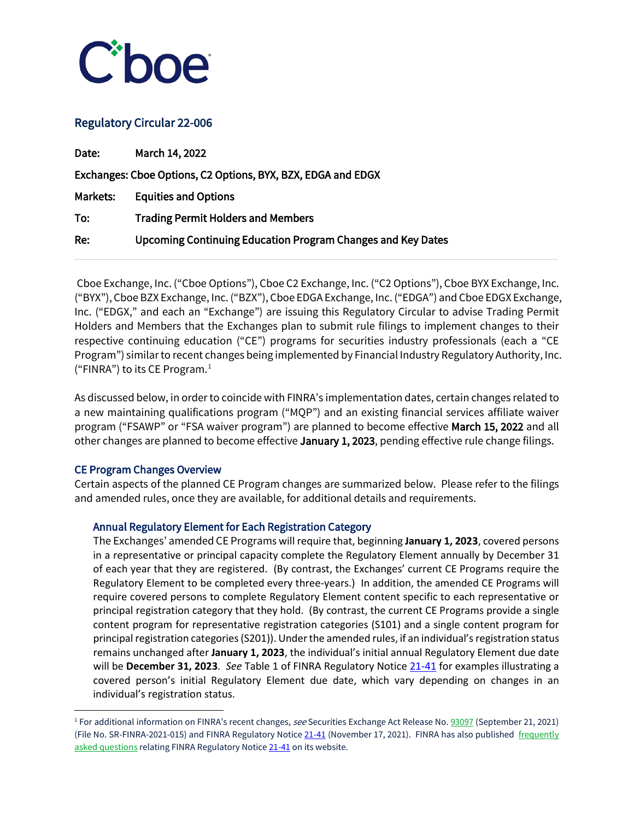

# Regulatory Circular 22-006

| Date:                                                        | March 14, 2022                                              |
|--------------------------------------------------------------|-------------------------------------------------------------|
| Exchanges: Cboe Options, C2 Options, BYX, BZX, EDGA and EDGX |                                                             |
| Markets:                                                     | <b>Equities and Options</b>                                 |
| To:                                                          | <b>Trading Permit Holders and Members</b>                   |
| Re:                                                          | Upcoming Continuing Education Program Changes and Key Dates |

Cboe Exchange, Inc. ("Cboe Options"), Cboe C2 Exchange, Inc. ("C2 Options"), Cboe BYX Exchange, Inc. ("BYX"), Cboe BZX Exchange, Inc. ("BZX"), Cboe EDGA Exchange, Inc. ("EDGA") and Cboe EDGX Exchange, Inc. ("EDGX," and each an "Exchange") are issuing this Regulatory Circular to advise Trading Permit Holders and Members that the Exchanges plan to submit rule filings to implement changes to their respective continuing education ("CE") programs for securities industry professionals (each a "CE Program") similar to recent changes being implemented by Financial Industry Regulatory Authority, Inc. ("FINRA") to its CE Program. [1](#page-0-0)

As discussed below, in order to coincide with FINRA's implementation dates, certain changes related to a new maintaining qualifications program ("MQP") and an existing financial services affiliate waiver program ("FSAWP" or "FSA waiver program") are planned to become effective March 15, 2022 and all other changes are planned to become effective January 1, 2023, pending effective rule change filings.

## CE Program Changes Overview

Certain aspects of the planned CE Program changes are summarized below. Please refer to the filings and amended rules, once they are available, for additional details and requirements.

## Annual Regulatory Element for Each Registration Category

The Exchanges' amended CE Programs will require that, beginning **January 1, 2023**, covered persons in a representative or principal capacity complete the Regulatory Element annually by December 31 of each year that they are registered. (By contrast, the Exchanges' current CE Programs require the Regulatory Element to be completed every three-years.) In addition, the amended CE Programs will require covered persons to complete Regulatory Element content specific to each representative or principal registration category that they hold. (By contrast, the current CE Programs provide a single content program for representative registration categories (S101) and a single content program for principal registration categories (S201)). Under the amended rules, if an individual's registration status remains unchanged after **January 1, 2023**, the individual's initial annual Regulatory Element due date will be **December 31, 2023**. *See* Table 1 of FINRA Regulatory Notice [21-41](https://www.finra.org/sites/default/files/2021-11/Regulatory-Notice-21-41.pdf) for examples illustrating a covered person's initial Regulatory Element due date, which vary depending on changes in an individual's registration status.

<span id="page-0-0"></span><sup>&</sup>lt;sup>1</sup> For additional information on FINRA's recent changes, see Securities Exchange Act Release No[. 93097 \(](https://www.sec.gov/rules/sro/finra/2021/34-93097.pdf)September 21, 2021) (File No. SR-FINRA-2021-015) and FINRA Regulatory Notic[e 21-41](https://www.finra.org/sites/default/files/2021-11/Regulatory-Notice-21-41.pdf) (November 17, 2021). FINRA has also published frequently [asked questions](https://www.finra.org/registration-exams-ce/continuing-education/ce-transformation-faq) relating FINRA Regulatory Notic[e 21-41](https://www.finra.org/sites/default/files/2021-11/Regulatory-Notice-21-41.pdf) on its website.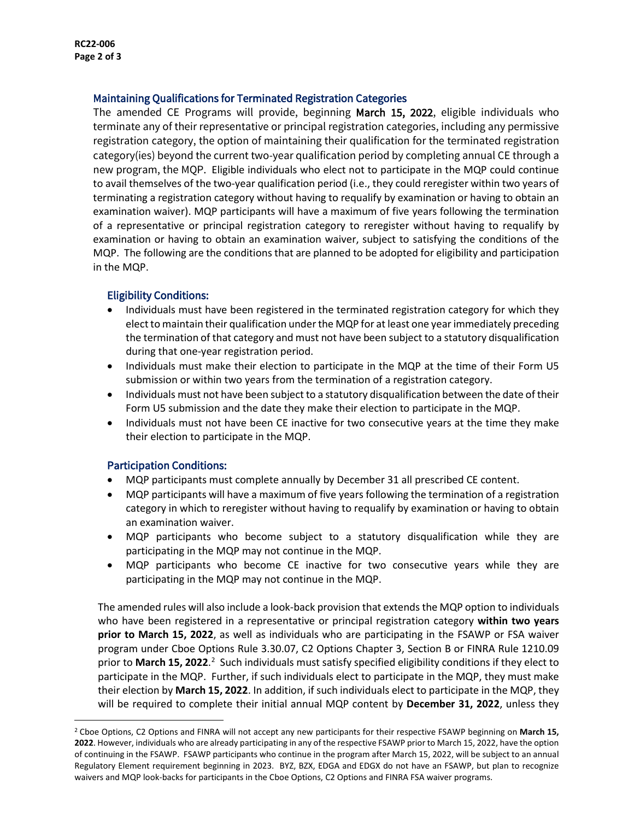# Maintaining Qualifications for Terminated Registration Categories

The amended CE Programs will provide, beginning March 15, 2022, eligible individuals who terminate any of their representative or principal registration categories, including any permissive registration category, the option of maintaining their qualification for the terminated registration category(ies) beyond the current two-year qualification period by completing annual CE through a new program, the MQP. Eligible individuals who elect not to participate in the MQP could continue to avail themselves of the two-year qualification period (i.e., they could reregister within two years of terminating a registration category without having to requalify by examination or having to obtain an examination waiver). MQP participants will have a maximum of five years following the termination of a representative or principal registration category to reregister without having to requalify by examination or having to obtain an examination waiver, subject to satisfying the conditions of the MQP. The following are the conditions that are planned to be adopted for eligibility and participation in the MQP.

## Eligibility Conditions:

- Individuals must have been registered in the terminated registration category for which they elect to maintain their qualification under the MQP for at least one year immediately preceding the termination of that category and must not have been subject to a statutory disqualification during that one-year registration period.
- Individuals must make their election to participate in the MQP at the time of their Form U5 submission or within two years from the termination of a registration category.
- Individuals must not have been subject to a statutory disqualification between the date of their Form U5 submission and the date they make their election to participate in the MQP.
- Individuals must not have been CE inactive for two consecutive years at the time they make their election to participate in the MQP.

## Participation Conditions:

- MQP participants must complete annually by December 31 all prescribed CE content.
- MQP participants will have a maximum of five years following the termination of a registration category in which to reregister without having to requalify by examination or having to obtain an examination waiver.
- MQP participants who become subject to a statutory disqualification while they are participating in the MQP may not continue in the MQP.
- MQP participants who become CE inactive for two consecutive years while they are participating in the MQP may not continue in the MQP.

The amended rules will also include a look-back provision that extends the MQP option to individuals who have been registered in a representative or principal registration category **within two years prior to March 15, 2022**, as well as individuals who are participating in the FSAWP or FSA waiver program under Cboe Options Rule 3.30.07, C2 Options Chapter 3, Section B or FINRA Rule 1210.09 prior to March 15, [2](#page-1-0)022.<sup>2</sup> Such individuals must satisfy specified eligibility conditions if they elect to participate in the MQP. Further, if such individuals elect to participate in the MQP, they must make their election by **March 15, 2022**. In addition, if such individuals elect to participate in the MQP, they will be required to complete their initial annual MQP content by **December 31, 2022**, unless they

<span id="page-1-0"></span><sup>2</sup> Cboe Options, C2 Options and FINRA will not accept any new participants for their respective FSAWP beginning on **March 15, 2022**. However, individuals who are already participating in any of the respective FSAWP prior to March 15, 2022, have the option of continuing in the FSAWP. FSAWP participants who continue in the program after March 15, 2022, will be subject to an annual Regulatory Element requirement beginning in 2023. BYZ, BZX, EDGA and EDGX do not have an FSAWP, but plan to recognize waivers and MQP look-backs for participants in the Cboe Options, C2 Options and FINRA FSA waiver programs.